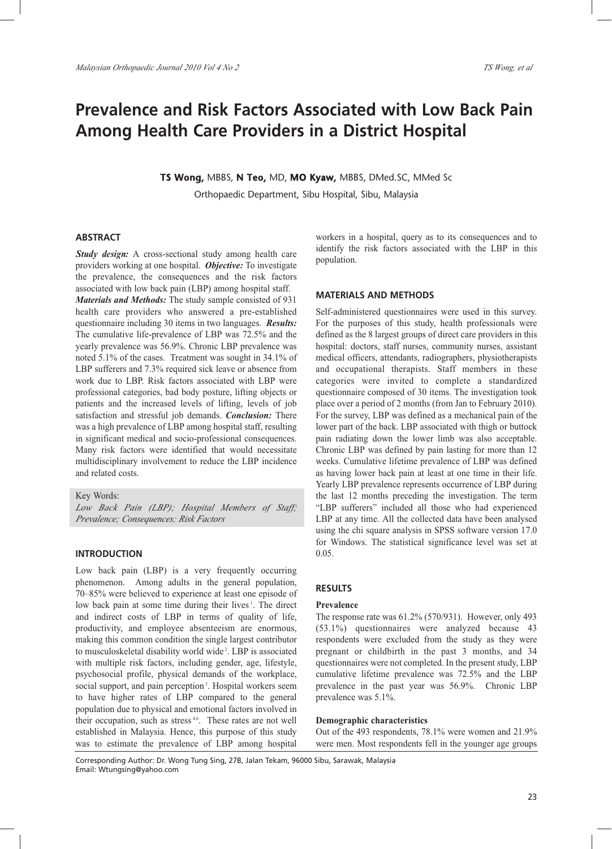# **Prevalence and Risk Factors Associated with Low Back Pain Among Health Care Providers in a District Hospital**

**TS Wong,** MBBS, **N Teo,** MD, **MO Kyaw,** MBBS, DMed.SC, MMed Sc

Orthopaedic Department, Sibu Hospital, Sibu, Malaysia

# **ABSTRACT**

*Study design:* A cross-sectional study among health care providers working at one hospital. *Objective:* To investigate the prevalence, the consequences and the risk factors associated with low back pain (LBP) among hospital staff. *Materials and Methods:* The study sample consisted of 931 health care providers who answered a pre-established questionnaire including 30 items in two languages. *Results:* The cumulative life-prevalence of LBP was 72.5% and the yearly prevalence was 56.9%. Chronic LBP prevalence was noted 5.1% of the cases. Treatment was sought in 34.1% of LBP sufferers and 7.3% required sick leave or absence from work due to LBP. Risk factors associated with LBP were professional categories, bad body posture, lifting objects or patients and the increased levels of lifting, levels of job satisfaction and stressful job demands. *Conclusion:* There was a high prevalence of LBP among hospital staff, resulting in significant medical and socio-professional consequences. Many risk factors were identified that would necessitate multidisciplinary involvement to reduce the LBP incidence and related costs.

Key Words:

*Low Back Pain (LBP); Hospital Members of Staff; Prevalence; Consequences; Risk Factors*

## **INTRODUCTION**

Low back pain (LBP) is a very frequently occurring phenomenon. Among adults in the general population, 70–85% were believed to experience at least one episode of low back pain at some time during their lives<sup>1</sup>. The direct and indirect costs of LBP in terms of quality of life, productivity, and employee absenteeism are enormous, making this common condition the single largest contributor to musculoskeletal disability world wide<sup>2</sup>. LBP is associated with multiple risk factors, including gender, age, lifestyle, psychosocial profile, physical demands of the workplace, social support, and pain perception<sup>3</sup>. Hospital workers seem to have higher rates of LBP compared to the general population due to physical and emotional factors involved in their occupation, such as stress<sup>4,6</sup>. These rates are not well established in Malaysia. Hence, this purpose of this study was to estimate the prevalence of LBP among hospital

workers in a hospital, query as to its consequences and to identify the risk factors associated with the LBP in this population.

# **MATERIALS AND METHODS**

Self-administered questionnaires were used in this survey. For the purposes of this study, health professionals were defined as the 8 largest groups of direct care providers in this hospital: doctors, staff nurses, community nurses, assistant medical officers, attendants, radiographers, physiotherapists and occupational therapists. Staff members in these categories were invited to complete a standardized questionnaire composed of 30 items. The investigation took place over a period of 2 months (from Jan to February 2010). For the survey, LBP was defined as a mechanical pain of the lower part of the back. LBP associated with thigh or buttock pain radiating down the lower limb was also acceptable. Chronic LBP was defined by pain lasting for more than 12 weeks. Cumulative lifetime prevalence of LBP was defined as having lower back pain at least at one time in their life. Yearly LBP prevalence represents occurrence of LBP during the last 12 months preceding the investigation. The term "LBP sufferers" included all those who had experienced LBP at any time. All the collected data have been analysed using the chi square analysis in SPSS software version 17.0 for Windows. The statistical significance level was set at 0.05.

# **RESULTS**

## **Prevalence**

The response rate was 61.2% (570/931). However, only 493 (53.1%) questionnaires were analyzed because 43 respondents were excluded from the study as they were pregnant or childbirth in the past 3 months, and 34 questionnaires were not completed. In the present study, LBP cumulative lifetime prevalence was 72.5% and the LBP prevalence in the past year was 56.9%. Chronic LBP prevalence was 5.1%.

#### **Demographic characteristics**

Out of the 493 respondents, 78.1% were women and 21.9% were men. Most respondents fell in the younger age groups

Corresponding Author: Dr. Wong Tung Sing, 27B, Jalan Tekam, 96000 Sibu, Sarawak, Malaysia Email: Wtungsing@yahoo.com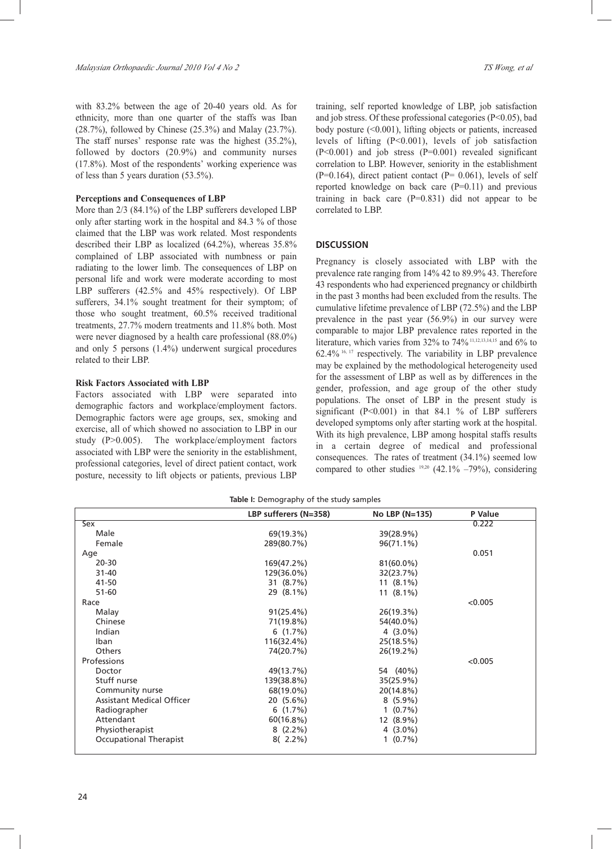with 83.2% between the age of 20-40 years old. As for ethnicity, more than one quarter of the staffs was Iban (28.7%), followed by Chinese (25.3%) and Malay (23.7%). The staff nurses' response rate was the highest (35.2%), followed by doctors (20.9%) and community nurses (17.8%). Most of the respondents' working experience was of less than 5 years duration (53.5%).

#### **Perceptions and Consequences of LBP**

More than 2/3 (84.1%) of the LBP sufferers developed LBP only after starting work in the hospital and 84.3 % of those claimed that the LBP was work related. Most respondents described their LBP as localized (64.2%), whereas 35.8% complained of LBP associated with numbness or pain radiating to the lower limb. The consequences of LBP on personal life and work were moderate according to most LBP sufferers (42.5% and 45% respectively). Of LBP sufferers, 34.1% sought treatment for their symptom; of those who sought treatment, 60.5% received traditional treatments, 27.7% modern treatments and 11.8% both. Most were never diagnosed by a health care professional (88.0%) and only 5 persons (1.4%) underwent surgical procedures related to their LBP.

#### **Risk Factors Associated with LBP**

Factors associated with LBP were separated into demographic factors and workplace/employment factors. Demographic factors were age groups, sex, smoking and exercise, all of which showed no association to LBP in our study (P>0.005). The workplace/employment factors associated with LBP were the seniority in the establishment, professional categories, level of direct patient contact, work posture, necessity to lift objects or patients, previous LBP training, self reported knowledge of LBP, job satisfaction and job stress. Of these professional categories (P<0.05), bad body posture (<0.001), lifting objects or patients, increased levels of lifting (P<0.001), levels of job satisfaction (P<0.001) and job stress (P=0.001) revealed significant correlation to LBP. However, seniority in the establishment  $(P=0.164)$ , direct patient contact  $(P= 0.061)$ , levels of self reported knowledge on back care (P=0.11) and previous training in back care  $(P=0.831)$  did not appear to be correlated to LBP.

#### **DISCUSSION**

Pregnancy is closely associated with LBP with the prevalence rate ranging from 14% 42 to 89.9% 43. Therefore 43 respondents who had experienced pregnancy or childbirth in the past 3 months had been excluded from the results. The cumulative lifetime prevalence of LBP (72.5%) and the LBP prevalence in the past year (56.9%) in our survey were comparable to major LBP prevalence rates reported in the literature, which varies from 32% to 74%<sup>11,12,13,14,15</sup> and 6% to 62.4% 16, 17 respectively. The variability in LBP prevalence may be explained by the methodological heterogeneity used for the assessment of LBP as well as by differences in the gender, profession, and age group of the other study populations. The onset of LBP in the present study is significant (P<0.001) in that 84.1 % of LBP sufferers developed symptoms only after starting work at the hospital. With its high prevalence, LBP among hospital staffs results in a certain degree of medical and professional consequences. The rates of treatment (34.1%) seemed low compared to other studies  $19,20$  (42.1% –79%), considering

|  | Table I: Demography of the study samples |  |  |  |
|--|------------------------------------------|--|--|--|
|--|------------------------------------------|--|--|--|

|                                  | LBP sufferers (N=358) | No LBP (N=135) | P Value |
|----------------------------------|-----------------------|----------------|---------|
| <b>Sex</b>                       |                       |                | 0.222   |
| Male                             | 69(19.3%)             | 39(28.9%)      |         |
| Female                           | 289(80.7%)            | 96(71.1%)      |         |
| Age                              |                       |                | 0.051   |
| $20 - 30$                        | 169(47.2%)            | 81(60.0%)      |         |
| $31 - 40$                        | 129(36.0%)            | 32(23.7%)      |         |
| 41-50                            | 31 (8.7%)             | $11(8.1\%)$    |         |
| $51 - 60$                        | 29 (8.1%)             | 11 $(8.1\%)$   |         |
| Race                             |                       |                | < 0.005 |
| Malay                            | 91(25.4%)             | 26(19.3%)      |         |
| Chinese                          | 71(19.8%)             | 54(40.0%)      |         |
| Indian                           | 6(1.7%)               | $4(3.0\%)$     |         |
| Iban                             | 116(32.4%)            | 25(18.5%)      |         |
| Others                           | 74(20.7%)             | 26(19.2%)      |         |
| <b>Professions</b>               |                       |                | < 0.005 |
| Doctor                           | 49(13.7%)             | 54 (40%)       |         |
| Stuff nurse                      | 139(38.8%)            | 35(25.9%)      |         |
| Community nurse                  | 68(19.0%)             | 20(14.8%)      |         |
| <b>Assistant Medical Officer</b> | $20(5.6\%)$           | $8(5.9\%)$     |         |
| Radiographer                     | 6(1.7%)               | $1(0.7\%)$     |         |
| Attendant                        | 60(16.8%)             | 12 (8.9%)      |         |
| Physiotherapist                  | $8(2.2\%)$            | $4(3.0\%)$     |         |
| Occupational Therapist           | $8(2.2\%)$            | $1(0.7\%)$     |         |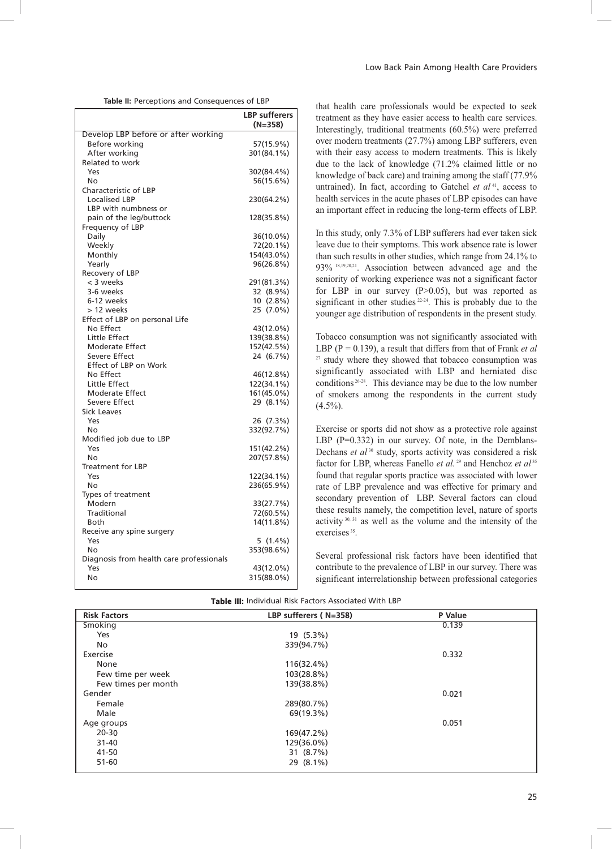|  |  | Table II: Perceptions and Consequences of LBP |  |
|--|--|-----------------------------------------------|--|
|--|--|-----------------------------------------------|--|

| Develop LBP before or after working<br>Before working<br>57(15.9%)<br>After working<br>301(84.1%)<br>Related to work<br>Yes<br>302(84.4%)<br>56(15.6%)<br>No<br>Characteristic of LBP<br><b>Localised LBP</b><br>230(64.2%)<br>LBP with numbness or<br>pain of the leg/buttock<br>128(35.8%)<br>Frequency of LBP<br>Daily<br>36(10.0%)<br>Weekly<br>72(20.1%)<br>Monthly<br>154(43.0%)<br>96(26.8%)<br>Yearly<br>Recovery of LBP<br>< 3 weeks<br>291(81.3%)<br>3-6 weeks<br>32 (8.9%)<br>6-12 weeks<br>$10(2.8\%)$<br>> 12 weeks<br>25 (7.0%)<br>Effect of LBP on personal Life<br>No Effect<br>43(12.0%)<br>Little Effect<br>139(38.8%)<br>Moderate Effect<br>152(42.5%)<br>Severe Effect<br>24 (6.7%)<br>Effect of LBP on Work<br>No Effect<br>46(12.8%)<br>Little Effect<br>122(34.1%)<br><b>Moderate Effect</b><br>161(45.0%)<br>Severe Effect<br>29 (8.1%)<br><b>Sick Leaves</b><br>Yes<br>26 (7.3%)<br>332(92.7%)<br>No<br>Modified job due to LBP<br>151(42.2%)<br>Yes<br>207(57.8%)<br>No<br><b>Treatment for LBP</b><br>Yes<br>122(34.1%)<br>No<br>236(65.9%)<br>Types of treatment<br>Modern<br>33(27.7%)<br>Traditional<br>72(60.5%)<br>14(11.8%)<br>Both<br>Receive any spine surgery<br>$5(1.4\%)$<br>Yes<br>No<br>353(98.6%)<br>Diagnosis from health care professionals<br>43(12.0%)<br>Yes<br>No<br>315(88.0%) | <b>LBP</b> sufferers<br>$(N=358)$ |
|--------------------------------------------------------------------------------------------------------------------------------------------------------------------------------------------------------------------------------------------------------------------------------------------------------------------------------------------------------------------------------------------------------------------------------------------------------------------------------------------------------------------------------------------------------------------------------------------------------------------------------------------------------------------------------------------------------------------------------------------------------------------------------------------------------------------------------------------------------------------------------------------------------------------------------------------------------------------------------------------------------------------------------------------------------------------------------------------------------------------------------------------------------------------------------------------------------------------------------------------------------------------------------------------------------------------------------|-----------------------------------|
|                                                                                                                                                                                                                                                                                                                                                                                                                                                                                                                                                                                                                                                                                                                                                                                                                                                                                                                                                                                                                                                                                                                                                                                                                                                                                                                                |                                   |
|                                                                                                                                                                                                                                                                                                                                                                                                                                                                                                                                                                                                                                                                                                                                                                                                                                                                                                                                                                                                                                                                                                                                                                                                                                                                                                                                |                                   |
|                                                                                                                                                                                                                                                                                                                                                                                                                                                                                                                                                                                                                                                                                                                                                                                                                                                                                                                                                                                                                                                                                                                                                                                                                                                                                                                                |                                   |
|                                                                                                                                                                                                                                                                                                                                                                                                                                                                                                                                                                                                                                                                                                                                                                                                                                                                                                                                                                                                                                                                                                                                                                                                                                                                                                                                |                                   |
|                                                                                                                                                                                                                                                                                                                                                                                                                                                                                                                                                                                                                                                                                                                                                                                                                                                                                                                                                                                                                                                                                                                                                                                                                                                                                                                                |                                   |
|                                                                                                                                                                                                                                                                                                                                                                                                                                                                                                                                                                                                                                                                                                                                                                                                                                                                                                                                                                                                                                                                                                                                                                                                                                                                                                                                |                                   |
|                                                                                                                                                                                                                                                                                                                                                                                                                                                                                                                                                                                                                                                                                                                                                                                                                                                                                                                                                                                                                                                                                                                                                                                                                                                                                                                                |                                   |
|                                                                                                                                                                                                                                                                                                                                                                                                                                                                                                                                                                                                                                                                                                                                                                                                                                                                                                                                                                                                                                                                                                                                                                                                                                                                                                                                |                                   |
|                                                                                                                                                                                                                                                                                                                                                                                                                                                                                                                                                                                                                                                                                                                                                                                                                                                                                                                                                                                                                                                                                                                                                                                                                                                                                                                                |                                   |
|                                                                                                                                                                                                                                                                                                                                                                                                                                                                                                                                                                                                                                                                                                                                                                                                                                                                                                                                                                                                                                                                                                                                                                                                                                                                                                                                |                                   |
|                                                                                                                                                                                                                                                                                                                                                                                                                                                                                                                                                                                                                                                                                                                                                                                                                                                                                                                                                                                                                                                                                                                                                                                                                                                                                                                                |                                   |
|                                                                                                                                                                                                                                                                                                                                                                                                                                                                                                                                                                                                                                                                                                                                                                                                                                                                                                                                                                                                                                                                                                                                                                                                                                                                                                                                |                                   |
|                                                                                                                                                                                                                                                                                                                                                                                                                                                                                                                                                                                                                                                                                                                                                                                                                                                                                                                                                                                                                                                                                                                                                                                                                                                                                                                                |                                   |
|                                                                                                                                                                                                                                                                                                                                                                                                                                                                                                                                                                                                                                                                                                                                                                                                                                                                                                                                                                                                                                                                                                                                                                                                                                                                                                                                |                                   |
|                                                                                                                                                                                                                                                                                                                                                                                                                                                                                                                                                                                                                                                                                                                                                                                                                                                                                                                                                                                                                                                                                                                                                                                                                                                                                                                                |                                   |
|                                                                                                                                                                                                                                                                                                                                                                                                                                                                                                                                                                                                                                                                                                                                                                                                                                                                                                                                                                                                                                                                                                                                                                                                                                                                                                                                |                                   |
|                                                                                                                                                                                                                                                                                                                                                                                                                                                                                                                                                                                                                                                                                                                                                                                                                                                                                                                                                                                                                                                                                                                                                                                                                                                                                                                                |                                   |
|                                                                                                                                                                                                                                                                                                                                                                                                                                                                                                                                                                                                                                                                                                                                                                                                                                                                                                                                                                                                                                                                                                                                                                                                                                                                                                                                |                                   |
|                                                                                                                                                                                                                                                                                                                                                                                                                                                                                                                                                                                                                                                                                                                                                                                                                                                                                                                                                                                                                                                                                                                                                                                                                                                                                                                                |                                   |
|                                                                                                                                                                                                                                                                                                                                                                                                                                                                                                                                                                                                                                                                                                                                                                                                                                                                                                                                                                                                                                                                                                                                                                                                                                                                                                                                |                                   |
|                                                                                                                                                                                                                                                                                                                                                                                                                                                                                                                                                                                                                                                                                                                                                                                                                                                                                                                                                                                                                                                                                                                                                                                                                                                                                                                                |                                   |
|                                                                                                                                                                                                                                                                                                                                                                                                                                                                                                                                                                                                                                                                                                                                                                                                                                                                                                                                                                                                                                                                                                                                                                                                                                                                                                                                |                                   |
|                                                                                                                                                                                                                                                                                                                                                                                                                                                                                                                                                                                                                                                                                                                                                                                                                                                                                                                                                                                                                                                                                                                                                                                                                                                                                                                                |                                   |
|                                                                                                                                                                                                                                                                                                                                                                                                                                                                                                                                                                                                                                                                                                                                                                                                                                                                                                                                                                                                                                                                                                                                                                                                                                                                                                                                |                                   |
|                                                                                                                                                                                                                                                                                                                                                                                                                                                                                                                                                                                                                                                                                                                                                                                                                                                                                                                                                                                                                                                                                                                                                                                                                                                                                                                                |                                   |
|                                                                                                                                                                                                                                                                                                                                                                                                                                                                                                                                                                                                                                                                                                                                                                                                                                                                                                                                                                                                                                                                                                                                                                                                                                                                                                                                |                                   |
|                                                                                                                                                                                                                                                                                                                                                                                                                                                                                                                                                                                                                                                                                                                                                                                                                                                                                                                                                                                                                                                                                                                                                                                                                                                                                                                                |                                   |
|                                                                                                                                                                                                                                                                                                                                                                                                                                                                                                                                                                                                                                                                                                                                                                                                                                                                                                                                                                                                                                                                                                                                                                                                                                                                                                                                |                                   |
|                                                                                                                                                                                                                                                                                                                                                                                                                                                                                                                                                                                                                                                                                                                                                                                                                                                                                                                                                                                                                                                                                                                                                                                                                                                                                                                                |                                   |
|                                                                                                                                                                                                                                                                                                                                                                                                                                                                                                                                                                                                                                                                                                                                                                                                                                                                                                                                                                                                                                                                                                                                                                                                                                                                                                                                |                                   |
|                                                                                                                                                                                                                                                                                                                                                                                                                                                                                                                                                                                                                                                                                                                                                                                                                                                                                                                                                                                                                                                                                                                                                                                                                                                                                                                                |                                   |
|                                                                                                                                                                                                                                                                                                                                                                                                                                                                                                                                                                                                                                                                                                                                                                                                                                                                                                                                                                                                                                                                                                                                                                                                                                                                                                                                |                                   |
|                                                                                                                                                                                                                                                                                                                                                                                                                                                                                                                                                                                                                                                                                                                                                                                                                                                                                                                                                                                                                                                                                                                                                                                                                                                                                                                                |                                   |
|                                                                                                                                                                                                                                                                                                                                                                                                                                                                                                                                                                                                                                                                                                                                                                                                                                                                                                                                                                                                                                                                                                                                                                                                                                                                                                                                |                                   |
|                                                                                                                                                                                                                                                                                                                                                                                                                                                                                                                                                                                                                                                                                                                                                                                                                                                                                                                                                                                                                                                                                                                                                                                                                                                                                                                                |                                   |
|                                                                                                                                                                                                                                                                                                                                                                                                                                                                                                                                                                                                                                                                                                                                                                                                                                                                                                                                                                                                                                                                                                                                                                                                                                                                                                                                |                                   |
|                                                                                                                                                                                                                                                                                                                                                                                                                                                                                                                                                                                                                                                                                                                                                                                                                                                                                                                                                                                                                                                                                                                                                                                                                                                                                                                                |                                   |
|                                                                                                                                                                                                                                                                                                                                                                                                                                                                                                                                                                                                                                                                                                                                                                                                                                                                                                                                                                                                                                                                                                                                                                                                                                                                                                                                |                                   |
|                                                                                                                                                                                                                                                                                                                                                                                                                                                                                                                                                                                                                                                                                                                                                                                                                                                                                                                                                                                                                                                                                                                                                                                                                                                                                                                                |                                   |
|                                                                                                                                                                                                                                                                                                                                                                                                                                                                                                                                                                                                                                                                                                                                                                                                                                                                                                                                                                                                                                                                                                                                                                                                                                                                                                                                |                                   |
|                                                                                                                                                                                                                                                                                                                                                                                                                                                                                                                                                                                                                                                                                                                                                                                                                                                                                                                                                                                                                                                                                                                                                                                                                                                                                                                                |                                   |
|                                                                                                                                                                                                                                                                                                                                                                                                                                                                                                                                                                                                                                                                                                                                                                                                                                                                                                                                                                                                                                                                                                                                                                                                                                                                                                                                |                                   |
|                                                                                                                                                                                                                                                                                                                                                                                                                                                                                                                                                                                                                                                                                                                                                                                                                                                                                                                                                                                                                                                                                                                                                                                                                                                                                                                                |                                   |
|                                                                                                                                                                                                                                                                                                                                                                                                                                                                                                                                                                                                                                                                                                                                                                                                                                                                                                                                                                                                                                                                                                                                                                                                                                                                                                                                |                                   |
|                                                                                                                                                                                                                                                                                                                                                                                                                                                                                                                                                                                                                                                                                                                                                                                                                                                                                                                                                                                                                                                                                                                                                                                                                                                                                                                                |                                   |
|                                                                                                                                                                                                                                                                                                                                                                                                                                                                                                                                                                                                                                                                                                                                                                                                                                                                                                                                                                                                                                                                                                                                                                                                                                                                                                                                |                                   |
|                                                                                                                                                                                                                                                                                                                                                                                                                                                                                                                                                                                                                                                                                                                                                                                                                                                                                                                                                                                                                                                                                                                                                                                                                                                                                                                                |                                   |
|                                                                                                                                                                                                                                                                                                                                                                                                                                                                                                                                                                                                                                                                                                                                                                                                                                                                                                                                                                                                                                                                                                                                                                                                                                                                                                                                |                                   |

| that health care professionals would be expected to seek        |
|-----------------------------------------------------------------|
| treatment as they have easier access to health care services.   |
| Interestingly, traditional treatments (60.5%) were preferred    |
| over modern treatments (27.7%) among LBP sufferers, even        |
| with their easy access to modern treatments. This is likely     |
| due to the lack of knowledge (71.2% claimed little or no        |
| knowledge of back care) and training among the staff (77.9%     |
| untrained). In fact, according to Gatchel et $al41$ , access to |
| health services in the acute phases of LBP episodes can have    |
| an important effect in reducing the long-term effects of LBP.   |
|                                                                 |
| In this study, only 7.3% of LBP sufferers had ever taken sick   |
| leave due to their symptoms. This work absence rate is lower    |
| than such results in other studies, which range from 24.1% to   |
| $020/8.192021$ According bottom odtronood ago and the           |

93% 18,19,20,21. Association between advanced age and the seniority of working experience was not a significant factor for LBP in our survey  $(P>0.05)$ , but was reported as significant in other studies  $22-24$ . This is probably due to the younger age distribution of respondents in the present study.

Tobacco consumption was not significantly associated with LBP (P = 0.139), a result that differs from that of Frank *et al*  $27$  study where they showed that tobacco consumption was significantly associated with LBP and herniated disc conditions<sup>26-28</sup>. This deviance may be due to the low number of smokers among the respondents in the current study  $(4.5\%)$ .

Exercise or sports did not show as a protective role against LBP  $(P=0.332)$  in our survey. Of note, in the Demblans-Dechans *et al*<sup>30</sup> study, sports activity was considered a risk factor for LBP, whereas Fanello *et al.*<sup>29</sup> and Henchoz *et al*<sup>35</sup> found that regular sports practice was associated with lower rate of LBP prevalence and was effective for primary and secondary prevention of LBP. Several factors can cloud these results namely, the competition level, nature of sports activity 30, 31 as well as the volume and the intensity of the exercises<sup>35</sup>.

Several professional risk factors have been identified that contribute to the prevalence of LBP in our survey. There was significant interrelationship between professional categories

| <b>Risk Factors</b> | LBP sufferers (N=358) | P Value |  |
|---------------------|-----------------------|---------|--|
| <b>Smoking</b>      |                       | 0.139   |  |
| Yes                 | 19 (5.3%)             |         |  |
| No                  | 339(94.7%)            |         |  |
| Exercise            |                       | 0.332   |  |
| None                | 116(32.4%)            |         |  |
| Few time per week   | 103(28.8%)            |         |  |
| Few times per month | 139(38.8%)            |         |  |
| Gender              |                       | 0.021   |  |
| Female              | 289(80.7%)            |         |  |
| Male                | 69(19.3%)             |         |  |
| Age groups          |                       | 0.051   |  |
| $20 - 30$           | 169(47.2%)            |         |  |
| $31 - 40$           | 129(36.0%)            |         |  |
| 41-50               | 31 (8.7%)             |         |  |
| $51 - 60$           | 29 (8.1%)             |         |  |

**Table III:** Individual Risk Factors Associated With LBP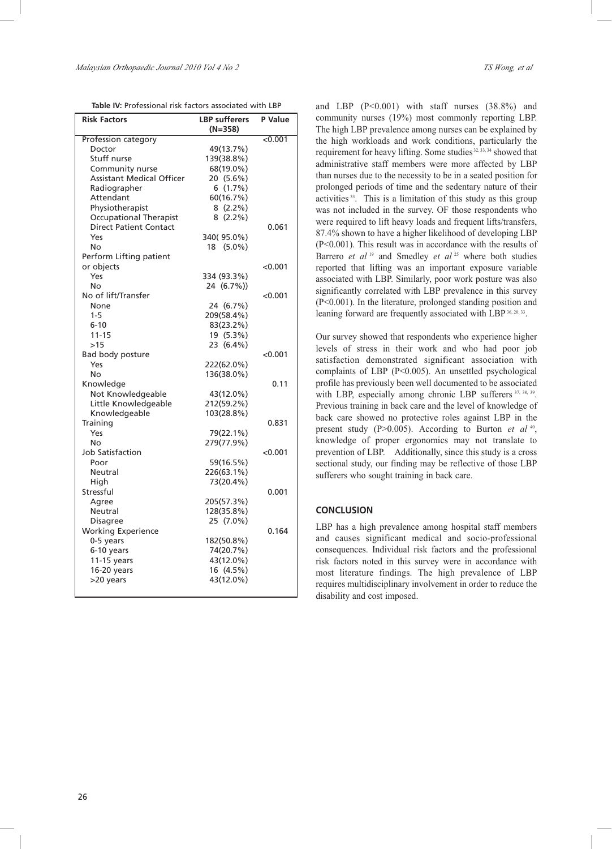| <b>Risk Factors</b>                       | <b>LBP</b> sufferers<br>(N=358) | P Value |
|-------------------------------------------|---------------------------------|---------|
| Profession category                       |                                 | < 0.001 |
| Doctor                                    | 49(13.7%)                       |         |
| Stuff nurse                               | 139(38.8%)                      |         |
| Community nurse                           | 68(19.0%)                       |         |
| <b>Assistant Medical Officer</b>          | 20 (5.6%)                       |         |
| Radiographer                              | 6(1.7%)                         |         |
| Attendant                                 | 60(16.7%)                       |         |
| Physiotherapist                           | 8(2.2%)                         |         |
| <b>Occupational Therapist</b>             | $8(2.2\%)$                      |         |
| <b>Direct Patient Contact</b>             |                                 | 0.061   |
| Yes                                       | 340(95.0%)                      |         |
| No                                        | 18 (5.0%)                       |         |
| Perform Lifting patient                   |                                 |         |
| or objects                                |                                 | < 0.001 |
| Yes                                       | 334 (93.3%)                     |         |
| No                                        | 24 (6.7%))                      |         |
| No of lift/Transfer                       |                                 | <0.001  |
| None                                      | 24 (6.7%)                       |         |
| $1 - 5$                                   | 209(58.4%)                      |         |
| $6 - 10$                                  | 83(23.2%)                       |         |
| $11 - 15$                                 | 19 (5.3%)                       |         |
| >15                                       | 23 (6.4%)                       |         |
| Bad body posture                          |                                 | < 0.001 |
| Yes                                       | 222(62.0%)                      |         |
| No                                        | 136(38.0%)                      |         |
|                                           |                                 | 0.11    |
| Knowledge                                 |                                 |         |
| Not Knowledgeable<br>Little Knowledgeable | 43(12.0%)<br>212(59.2%)         |         |
|                                           | 103(28.8%)                      |         |
| Knowledgeable                             |                                 |         |
| Training                                  |                                 | 0.831   |
| Yes                                       | 79(22.1%)                       |         |
| No                                        | 279(77.9%)                      |         |
| <b>Job Satisfaction</b>                   |                                 | < 0.001 |
| Poor                                      | 59(16.5%)                       |         |
| Neutral                                   | 226(63.1%)                      |         |
| High                                      | 73(20.4%)                       |         |
| Stressful                                 |                                 | 0.001   |
| Agree                                     | 205(57.3%)                      |         |
| Neutral                                   | 128(35.8%)                      |         |
| <b>Disagree</b>                           | 25 (7.0%)                       |         |
| <b>Working Experience</b>                 |                                 | 0.164   |
| 0-5 years                                 | 182(50.8%)                      |         |
| 6-10 years                                | 74(20.7%)                       |         |
| 11-15 years                               | 43(12.0%)                       |         |
| 16-20 years                               | 16 (4.5%)                       |         |
| >20 years                                 | 43(12.0%)                       |         |
|                                           |                                 |         |

and LBP (P<0.001) with staff nurses (38.8%) and community nurses (19%) most commonly reporting LBP. The high LBP prevalence among nurses can be explained by the high workloads and work conditions, particularly the requirement for heavy lifting. Some studies<sup>32, 33, 34</sup> showed that administrative staff members were more affected by LBP than nurses due to the necessity to be in a seated position for prolonged periods of time and the sedentary nature of their activities 33. This is a limitation of this study as this group was not included in the survey. OF those respondents who were required to lift heavy loads and frequent lifts/transfers, 87.4% shown to have a higher likelihood of developing LBP (P<0.001). This result was in accordance with the results of Barrero *et al*<sup>19</sup> and Smedley *et al*<sup>25</sup> where both studies reported that lifting was an important exposure variable associated with LBP. Similarly, poor work posture was also significantly correlated with LBP prevalence in this survey (P<0.001). In the literature, prolonged standing position and leaning forward are frequently associated with LBP 36, 20, 33.

Our survey showed that respondents who experience higher levels of stress in their work and who had poor job satisfaction demonstrated significant association with complaints of LBP (P<0.005). An unsettled psychological profile has previously been well documented to be associated with LBP, especially among chronic LBP sufferers 37, 38, 39. Previous training in back care and the level of knowledge of back care showed no protective roles against LBP in the present study (P>0.005). According to Burton *et al* <sup>40</sup>, knowledge of proper ergonomics may not translate to prevention of LBP. Additionally, since this study is a cross sectional study, our finding may be reflective of those LBP sufferers who sought training in back care.

### **CONCLUSION**

LBP has a high prevalence among hospital staff members and causes significant medical and socio-professional consequences. Individual risk factors and the professional risk factors noted in this survey were in accordance with most literature findings. The high prevalence of LBP requires multidisciplinary involvement in order to reduce the disability and cost imposed.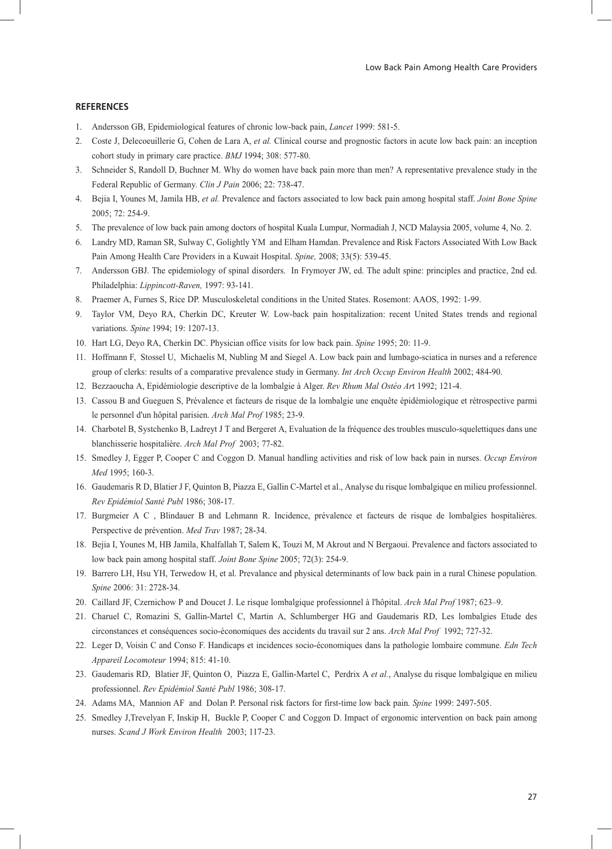# **REFERENCES**

- 1. Andersson GB, Epidemiological features of chronic low-back pain, *Lancet* 1999: 581-5.
- 2. Coste J, Delecoeuillerie G, Cohen de Lara A, *et al.* Clinical course and prognostic factors in acute low back pain: an inception cohort study in primary care practice. *BMJ* 1994; 308: 577-80.
- 3. Schneider S, Randoll D, Buchner M. Why do women have back pain more than men? A representative prevalence study in the Federal Republic of Germany. *Clin J Pain* 2006; 22: 738-47.
- 4. Bejia I, Younes M, Jamila HB, *et al.* Prevalence and factors associated to low back pain among hospital staff. *Joint Bone Spine* 2005; 72: 254-9.
- 5. The prevalence of low back pain among doctors of hospital Kuala Lumpur, Normadiah J, NCD Malaysia 2005, volume 4, No. 2.
- 6. Landry MD, Raman SR, Sulway C, Golightly YM and Elham Hamdan. Prevalence and Risk Factors Associated With Low Back Pain Among Health Care Providers in a Kuwait Hospital. *Spine,* 2008; 33(5): 539-45.
- 7. Andersson GBJ. The epidemiology of spinal disorders. In Frymoyer JW, ed. The adult spine: principles and practice, 2nd ed. Philadelphia: *Lippincott-Raven,* 1997: 93-141.
- 8. Praemer A, Furnes S, Rice DP. Musculoskeletal conditions in the United States. Rosemont: AAOS, 1992: 1-99.
- 9. Taylor VM, Deyo RA, Cherkin DC, Kreuter W. Low-back pain hospitalization: recent United States trends and regional variations. *Spine* 1994; 19: 1207-13.
- 10. Hart LG, Deyo RA, Cherkin DC. Physician office visits for low back pain. *Spine* 1995; 20: 11-9.
- 11. Hoffmann F, Stossel U, Michaelis M, Nubling M and Siegel A. Low back pain and lumbago-sciatica in nurses and a reference group of clerks: results of a comparative prevalence study in Germany. *Int Arch Occup Environ Health* 2002; 484-90.
- 12. Bezzaoucha A, Epidémiologie descriptive de la lombalgie à Alger. *Rev Rhum Mal Ostéo Ar*t 1992; 121-4.
- 13. Cassou B and Gueguen S, Prévalence et facteurs de risque de la lombalgie une enquête épidémiologique et rétrospective parmi le personnel d'un hôpital parisien. *Arch Mal Prof* 1985; 23-9.
- 14. Charbotel B, Systchenko B, Ladreyt J T and Bergeret A, Evaluation de la fréquence des troubles musculo-squelettiques dans une blanchisserie hospitalière. *Arch Mal Prof* 2003; 77-82.
- 15. Smedley J, Egger P, Cooper C and Coggon D. Manual handling activities and risk of low back pain in nurses. *Occup Environ Med* 1995; 160-3.
- 16. Gaudemaris R D, Blatier J F, Quinton B, Piazza E, Gallin C-Martel et al., Analyse du risque lombalgique en milieu professionnel. *Rev Epidémiol Santé Publ* 1986; 308-17.
- 17. Burgmeier A C , Blindauer B and Lehmann R. Incidence, prévalence et facteurs de risque de lombalgies hospitalières. Perspective de prévention. *Med Trav* 1987; 28-34.
- 18. Bejia I, Younes M, HB Jamila, Khalfallah T, Salem K, Touzi M, M Akrout and N Bergaoui. Prevalence and factors associated to low back pain among hospital staff. *Joint Bone Spine* 2005; 72(3): 254-9.
- 19. Barrero LH, Hsu YH, Terwedow H, et al. Prevalance and physical determinants of low back pain in a rural Chinese population. *Spine* 2006: 31: 2728-34.
- 20. Caillard JF, Czernichow P and Doucet J. Le risque lombalgique professionnel à l'hôpital. *Arch Mal Prof* 1987; 623–9.
- 21. Charuel C, Romazini S, Gallin-Martel C, Martin A, Schlumberger HG and Gaudemaris RD, Les lombalgies Etude des circonstances et conséquences socio-économiques des accidents du travail sur 2 ans. *Arch Mal Prof* 1992; 727-32.
- 22. Leger D, Voisin C and Conso F. Handicaps et incidences socio-économiques dans la pathologie lombaire commune. *Edn Tech Appareil Locomoteur* 1994; 815: 41-10.
- 23. Gaudemaris RD, Blatier JF, Quinton O, Piazza E, Gallin-Martel C, Perdrix A *et al.*, Analyse du risque lombalgique en milieu professionnel. *Rev Epidémiol Santé Publ* 1986; 308-17.
- 24. Adams MA, Mannion AF and Dolan P. Personal risk factors for first-time low back pain. *Spine* 1999: 2497-505.
- 25. Smedley J,Trevelyan F, Inskip H, Buckle P, Cooper C and Coggon D. Impact of ergonomic intervention on back pain among nurses. *Scand J Work Environ Health* 2003; 117-23.